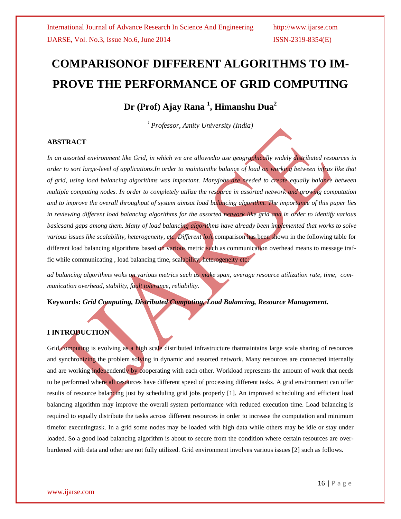# **COMPARISONOF DIFFERENT ALGORITHMS TO IM-PROVE THE PERFORMANCE OF GRID COMPUTING**

**Dr (Prof) Ajay Rana <sup>1</sup> , Himanshu Dua<sup>2</sup>**

*<sup>1</sup>Professor, Amity University (India)*

#### **ABSTRACT**

*In an assorted environment like Grid, in which we are allowedto use geographically widely distributed resources in order to sort large-level of applications.In order to maintainthe balance of load on working between infras like that of grid, using load balancing algorithms was important. Manyjobs are needed to create equally balance between multiple computing nodes. In order to completely utilize the resource in assorted network and growing computation and to improve the overall throughput of system aimsat load balancing algorithm. The importance of this paper lies in reviewing different load balancing algorithms for the assorted network like grid and in order to identify various basicsand gaps among them. Many of load balancing algorithms have already been implemented that works to solve various issues like scalability, heterogeneity, etc. Different lo*A comparison has been shown in the following table for different load balancing algorithms based on various metric such as communication overhead means to message traffic while communicating , load balancing time, scalability, heterogeneity etc;

*ad balancing algorithms woks on various metrics such as make span, average resource utilization rate, time, communication overhead, stability, fault tolerance, reliability.* 

**Keywords:** *Grid Computing, Distributed Computing, Load Balancing, Resource Management.*

#### **I INTRODUCTION**

Grid computing is evolving as a high scale distributed infrastructure thatmaintains large scale sharing of resources and synchronizing the problem solving in dynamic and assorted network. Many resources are connected internally and are working independently by cooperating with each other. Workload represents the amount of work that needs to be performed where all resources have different speed of processing different tasks. A grid environment can offer results of resource balancing just by scheduling grid jobs properly [1]. An improved scheduling and efficient load balancing algorithm may improve the overall system performance with reduced execution time. Load balancing is required to equally distribute the tasks across different resources in order to increase the computation and minimum timefor executingtask. In a grid some nodes may be loaded with high data while others may be idle or stay under loaded. So a good load balancing algorithm is about to secure from the condition where certain resources are overburdened with data and other are not fully utilized. Grid environment involves various issues [2] such as follows.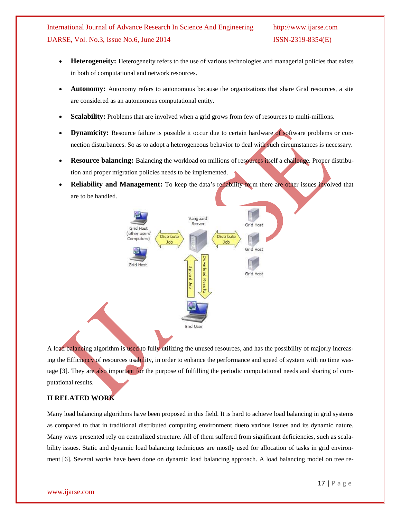- **Heterogeneity:** Heterogeneity refers to the use of various technologies and managerial policies that exists in both of computational and network resources.
- **Autonomy:** Autonomy refers to autonomous because the organizations that share Grid resources, a site are considered as an autonomous computational entity.
- **Scalability:** Problems that are involved when a grid grows from few of resources to multi-millions.
- **Dynamicity:** Resource failure is possible it occur due to certain hardware of software problems or connection disturbances. So as to adopt a heterogeneous behavior to deal with such circumstances is necessary.
- **Resource balancing:** Balancing the workload on millions of resources itself a challenge. Proper distribution and proper migration policies needs to be implemented.
- **Reliability and Management:** To keep the data's reliability form there are other issues involved that are to be handled.



A load balancing algorithm is used to fully utilizing the unused resources, and has the possibility of majorly increasing the Efficiency of resources usability, in order to enhance the performance and speed of system with no time wastage [3]. They are also important for the purpose of fulfilling the periodic computational needs and sharing of computational results.

### **II RELATED WORK**

Many load balancing algorithms have been proposed in this field. It is hard to achieve load balancing in grid systems as compared to that in traditional distributed computing environment dueto various issues and its dynamic nature. Many ways presented rely on centralized structure. All of them suffered from significant deficiencies, such as scalability issues. Static and dynamic load balancing techniques are mostly used for allocation of tasks in grid environment [6]. Several works have been done on dynamic load balancing approach. A load balancing model on tree re-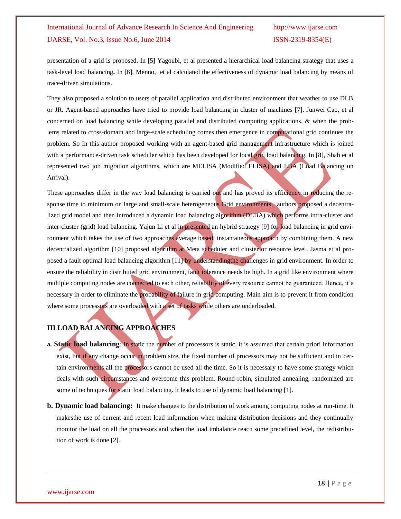presentation of a grid is proposed. In [5] Yagoubi, et al presented a hierarchical load balancing strategy that uses a task-level load balancing**.** In [6], Menno, et al calculated the effectiveness of dynamic load balancing by means of trace-driven simulations.

They also proposed a solution to users of parallel application and distributed environment that weather to use DLB or JR. Agent-based approaches have tried to provide load balancing in cluster of machines [7]. Junwei Cao, et al concerned on load balancing while developing parallel and distributed computing applications. & when the problems related to cross-domain and large-scale scheduling comes then emergence in computational grid continues the problem. So In this author proposed working with an agent-based grid management infrastructure which is joined with a performance-driven task scheduler which has been developed for local grid load balancing. In [8], Shah et al represented two job migration algorithms, which are MELISA (Modified ELISA) and LBA (Load Balancing on Arrival).

These approaches differ in the way load balancing is carried out and has proved its efficiency in reducing the response time to minimum on large and small-scale heterogeneous Grid environments, authors proposed a decentralized grid model and then introduced a dynamic load balancing algorithm (DLBA) which performs intra-cluster and inter-cluster (grid) load balancing. Yajun Li et al in presented an hybrid strategy [9] for load balancing in grid environment which takes the use of two approaches average based, instantaneous approach by combining them. A new decentralized algorithm [10] proposed algorithm at Meta scheduler and cluster or resource level. Jasma et al proposed a fault optimal load balancing algorithm [11] by understandingthe challenges in grid environment. In order to ensure the reliability in distributed grid environment, fault tolerance needs be high. In a grid like environment where multiple computing nodes are connected to each other, reliability of every resource cannot be guaranteed. Hence, it's necessary in order to eliminate the probability of failure in grid computing. Main aim is to prevent it from condition where some processors are overloaded with a set of tasks while others are underloaded.

### **III LOAD BALANCING APPROACHES**

- **a***.* **Static load balancing***:* In static the number of processors is static, it is assumed that certain priori information exist, but if any change occur in problem size, the fixed number of processors may not be sufficient and in certain environments all the processors cannot be used all the time. So it is necessary to have some strategy which deals with such circumstances and overcome this problem. Round-robin, simulated annealing, randomized are some of techniques for static load balancing. It leads to use of dynamic load balancing [1].
- **b. Dynamic load balancing:** It make changes to the distribution of work among computing nodes at run-time. It makesthe use of current and recent load information when making distribution decisions and they continually monitor the load on all the processors and when the load imbalance reach some predefined level, the redistribution of work is done [2].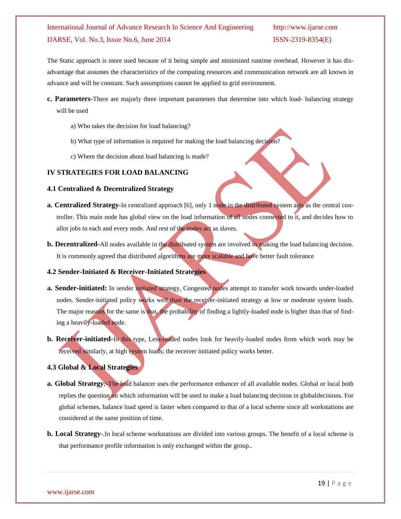The Static approach is more used because of it being simple and minimized runtime overhead. However it has disadvantage that assumes the characteristics of the computing resources and communication network are all known in advance and will be constant. Such assumptions cannot be applied to grid environment.

- **c. Parameters-**There are majorly three important parameters that determine into which load- balancing strategy will be used
	- a) Who takes the decision for load balancing?
	- b) What type of information is required for making the load balancing decision?
	- c) Where the decision about load balancing is made?

#### **IV STRATEGIES FOR LOAD BALANCING**

#### **4.1 Centralized & Decentralized Strategy**

- **a. Centralized Strategy***-*In centralized approach [6], only 1 node in the distributed system acts as the central controller. This main node has global view on the load information of all nodes connected to it, and decides how to allot jobs to each and every node. And rest of the nodes act as slaves.
- **b. Decentralized-**All nodes available in the distributed system are involved in making the load balancing decision. It is commonly agreed that distributed algorithms are more scalable and have better fault tolerance

#### **4.2 Sender-Initiated & Receiver-Initiated Strategies**

- **a. Sender-initiated:** In sender initiated strategy, Congested nodes attempt to transfer work towards under-loaded nodes. Sender-initiated policy works well than the receiver-initiated strategy at low or moderate system loads. The major reasons for the same is that, the probability of finding a lightly-loaded node is higher than that of finding a heavily-loaded node.
- **b. Receiver-initiated**-In this type, Less-loaded nodes look for heavily-loaded nodes from which work may be received similarly, at high system loads; the receiver initiated policy works better.

#### **4.3 Global & Local Strategies**

- **a. Global Strategy***:-*The load balancer uses the performance enhancer of all available nodes. Global or local both replies the question on which information will be used to make a load balancing decision in globaldecisions. For global schemes, balance load speed is faster when compared to that of a local scheme since all workstations are considered at the same position of time.
- **b. Local Strategy***-*.In local scheme workstations are divided into various groups. The benefit of a local scheme is that performance profile information is only exchanged within the group..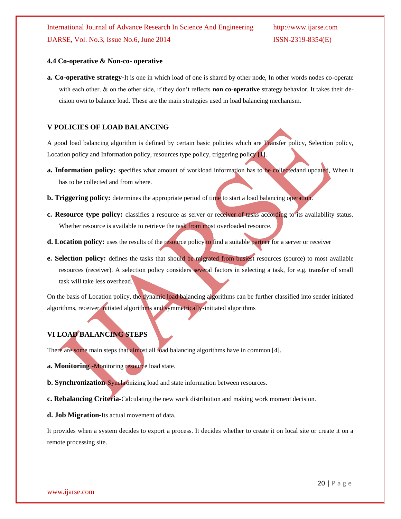#### **4.4 Co-operative & Non-co- operative**

**a. Co-operative strategy-**It is one in which load of one is shared by other node, In other words nodes co-operate with each other. & on the other side, if they don't reflects **non co-operative** strategy behavior. It takes their decision own to balance load. These are the main strategies used in load balancing mechanism.

#### **V POLICIES OF LOAD BALANCING**

A good load balancing algorithm is defined by certain basic policies which are Transfer policy, Selection policy, Location policy and Information policy, resources type policy, triggering policy [1].

- **a. Information policy:** specifies what amount of workload information has to be collectedand updated, When it has to be collected and from where.
- **b. Triggering policy:** determines the appropriate period of time to start a load balancing operation.
- **c. Resource type policy:** classifies a resource as server or receiver of tasks according to its availability status. Whether resource is available to retrieve the task from most overloaded resource.
- **d. Location policy:** uses the results of the resource policy to find a suitable partner for a server or receiver
- **e. Selection policy:** defines the tasks that should be migrated from busiest resources (source) to most available resources (receiver). A selection policy considers several factors in selecting a task, for e.g. transfer of small task will take less overhead.

On the basis of Location policy, the dynamic load balancing algorithms can be further classified into sender initiated algorithms, receiver initiated algorithms and symmetrically-initiated algorithms

#### **VI LOAD BALANCING STEPS**

There are some main steps that almost all load balancing algorithms have in common [4].

- **a. Monitoring -Monitoring resource load state.**
- **b. Synchronization-Synchronizing load and state information between resources.**
- **c. Rebalancing Criteria-**Calculating the new work distribution and making work moment decision.
- **d. Job Migration-**Its actual movement of data.

It provides when a system decides to export a process. It decides whether to create it on local site or create it on a remote processing site.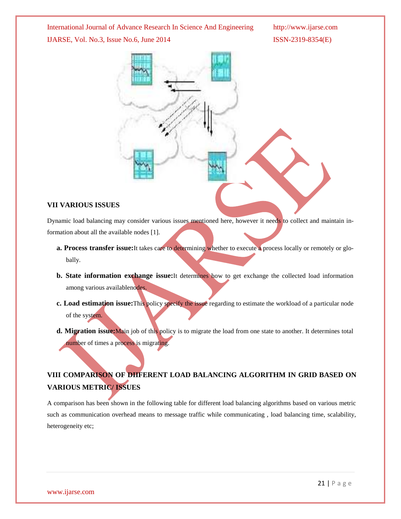#### **VII VARIOUS ISSUES**

Dynamic load balancing may consider various issues mentioned here, however it needs to collect and maintain information about all the available nodes [1].

- **a. Process transfer issue:**It takes care to determining whether to execute a process locally or remotely or globally.
- **b. State information exchange issue:**It determines how to get exchange the collected load information among various availablenodes.
- **c. Load estimation issue:**This policy specify the issue regarding to estimate the workload of a particular node of the system.
- **d. Migration issue:**Main job of this policy is to migrate the load from one state to another. It determines total number of times a process is migrating.

# **VIII COMPARISON OF DIIFERENT LOAD BALANCING ALGORITHM IN GRID BASED ON VARIOUS METRIC/ ISSUES**

A comparison has been shown in the following table for different load balancing algorithms based on various metric such as communication overhead means to message traffic while communicating , load balancing time, scalability, heterogeneity etc;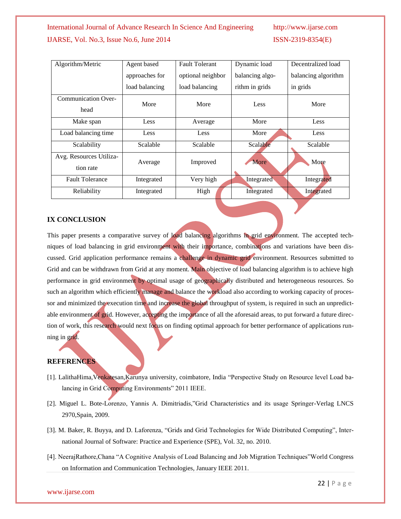| Algorithm/Metric                     | Agent based     | <b>Fault Tolerant</b> | Dynamic load    | Decentralized load  |
|--------------------------------------|-----------------|-----------------------|-----------------|---------------------|
|                                      | approaches for  | optional neighbor     | balancing algo- | balancing algorithm |
|                                      | load balancing  | load balancing        | rithm in grids  | in grids            |
| <b>Communication Over-</b><br>head   | More            | More                  | Less            | More                |
| Make span                            | Less            | Average               | More            | Less                |
| Load balancing time                  | Less            | Less                  | More            | Less                |
| Scalability                          | <b>Scalable</b> | Scalable              | Scalable        | Scalable            |
| Avg. Resources Utiliza-<br>tion rate | Average         | Improved              | More            | More                |
| <b>Fault Tolerance</b>               | Integrated      | Very high             | Integrated      | Integrated          |
| Reliability                          | Integrated      | High                  | Integrated      | Integrated          |

#### **IX CONCLUSION**

This paper presents a comparative survey of load balancing algorithms in grid environment. The accepted techniques of load balancing in grid environment with their importance, combinations and variations have been discussed. Grid application performance remains a challenge in dynamic grid environment. Resources submitted to Grid and can be withdrawn from Grid at any moment. Main objective of load balancing algorithm is to achieve high performance in grid environment by optimal usage of geographically distributed and heterogeneous resources. So such an algorithm which efficiently manage and balance the workload also according to working capacity of processor and minimized the execution time and increase the global throughput of system, is required in such an unpredictable environment of grid. However, accepting the importance of all the aforesaid areas, to put forward a future direction of work, this research would next focus on finding optimal approach for better performance of applications running in grid.

#### **REFERENCES**

- [1]. LalithaHima,Venkatesan,Karunya university, coimbatore, India "Perspective Study on Resource level Load balancing in Grid Computing Environments" 2011 IEEE.
- [2]. Miguel L. Bote-Lorenzo, Yannis A. Dimitriadis,"Grid Characteristics and its usage Springer-Verlag LNCS 2970,Spain, 2009.
- [3]. M. Baker, R. Buyya, and D. Laforenza, "Grids and Grid Technologies for Wide Distributed Computing", International Journal of Software: Practice and Experience (SPE), Vol. 32, no. 2010.
- [4]. NeerajRathore,Chana "A Cognitive Analysis of Load Balancing and Job Migration Techniques"World Congress on Information and Communication Technologies, January IEEE 2011.